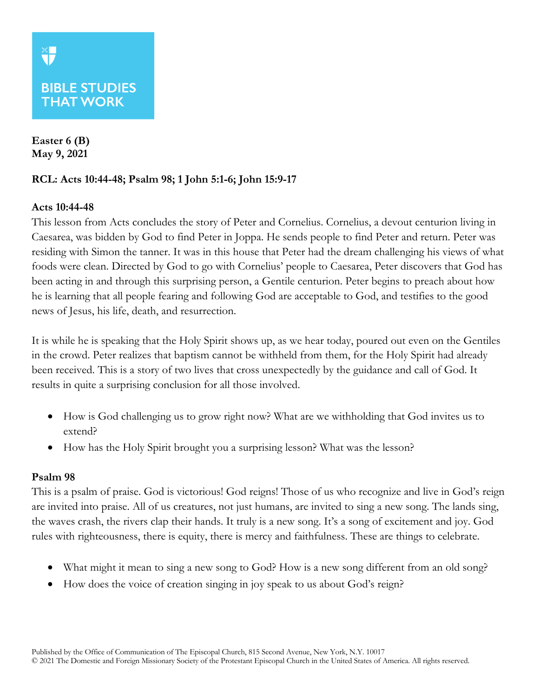# **BIBLE STUDIES THAT WORK**

**Easter 6 (B) May 9, 2021**

## **RCL: Acts 10:44-48; Psalm 98; 1 John 5:1-6; John 15:9-17**

### **Acts 10:44-48**

This lesson from Acts concludes the story of Peter and Cornelius. Cornelius, a devout centurion living in Caesarea, was bidden by God to find Peter in Joppa. He sends people to find Peter and return. Peter was residing with Simon the tanner. It was in this house that Peter had the dream challenging his views of what foods were clean. Directed by God to go with Cornelius' people to Caesarea, Peter discovers that God has been acting in and through this surprising person, a Gentile centurion. Peter begins to preach about how he is learning that all people fearing and following God are acceptable to God, and testifies to the good news of Jesus, his life, death, and resurrection.

It is while he is speaking that the Holy Spirit shows up, as we hear today, poured out even on the Gentiles in the crowd. Peter realizes that baptism cannot be withheld from them, for the Holy Spirit had already been received. This is a story of two lives that cross unexpectedly by the guidance and call of God. It results in quite a surprising conclusion for all those involved.

- How is God challenging us to grow right now? What are we withholding that God invites us to extend?
- How has the Holy Spirit brought you a surprising lesson? What was the lesson?

#### **Psalm 98**

This is a psalm of praise. God is victorious! God reigns! Those of us who recognize and live in God's reign are invited into praise. All of us creatures, not just humans, are invited to sing a new song. The lands sing, the waves crash, the rivers clap their hands. It truly is a new song. It's a song of excitement and joy. God rules with righteousness, there is equity, there is mercy and faithfulness. These are things to celebrate.

- What might it mean to sing a new song to God? How is a new song different from an old song?
- How does the voice of creation singing in joy speak to us about God's reign?